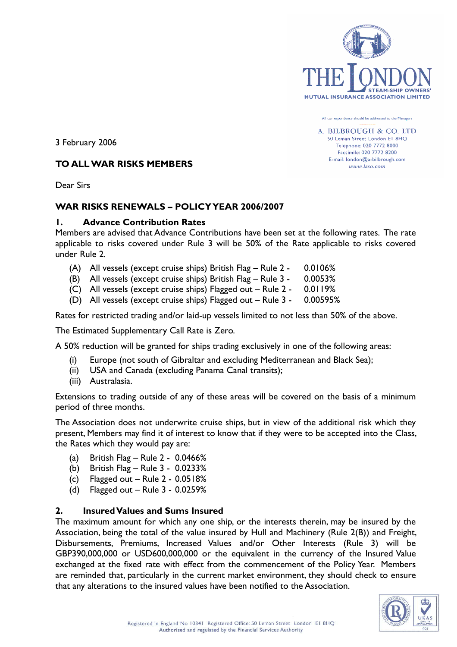

All correspondence should be addressed to the Managers

A. BILBROUGH & CO. LTD 50 Leman Street London El 8HQ Telephone: 020 7772 8000 Facsimile: 020 7772 8200 E-mail: london@a-bilbrough.com www.lsso.com

3 February 2006

### TO ALL WAR RISKS MEMBERS

Dear Sirs

### WAR RISKS RENEWALS – POLICY YEAR 2006/2007

### 1. Advance Contribution Rates

Members are advised that Advance Contributions have been set at the following rates. The rate applicable to risks covered under Rule 3 will be 50% of the Rate applicable to risks covered under Rule 2.

- (A) All vessels (except cruise ships) British Flag Rule 2 0.0106%
- (B) All vessels (except cruise ships) British Flag Rule 3 0.0053%
- (C) All vessels (except cruise ships) Flagged out Rule 2 0.0119%
- (D) All vessels (except cruise ships) Flagged out Rule 3 0.00595%

Rates for restricted trading and/or laid-up vessels limited to not less than 50% of the above.

The Estimated Supplementary Call Rate is Zero.

A 50% reduction will be granted for ships trading exclusively in one of the following areas:

- (i) Europe (not south of Gibraltar and excluding Mediterranean and Black Sea);
- (ii) USA and Canada (excluding Panama Canal transits);
- (iii) Australasia.

Extensions to trading outside of any of these areas will be covered on the basis of a minimum period of three months.

The Association does not underwrite cruise ships, but in view of the additional risk which they present, Members may find it of interest to know that if they were to be accepted into the Class, the Rates which they would pay are:

- (a) British Flag Rule 2 0.0466%
- (b) British Flag Rule 3 0.0233%
- (c) Flagged out Rule  $2 0.0518%$
- (d) Flagged out Rule 3 0.0259%

### 2. Insured Values and Sums Insured

The maximum amount for which any one ship, or the interests therein, may be insured by the Association, being the total of the value insured by Hull and Machinery (Rule 2(B)) and Freight, Disbursements, Premiums, Increased Values and/or Other Interests (Rule 3) will be GBP390,000,000 or USD600,000,000 or the equivalent in the currency of the Insured Value exchanged at the fixed rate with effect from the commencement of the Policy Year. Members are reminded that, particularly in the current market environment, they should check to ensure that any alterations to the insured values have been notified to the Association.

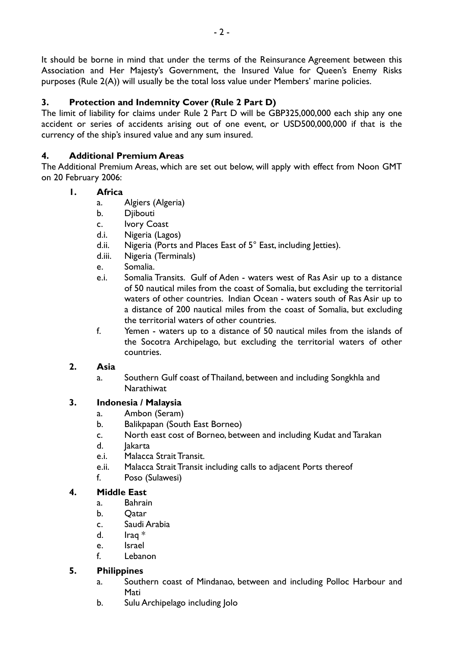It should be borne in mind that under the terms of the Reinsurance Agreement between this Association and Her Majesty's Government, the Insured Value for Queen's Enemy Risks purposes (Rule 2(A)) will usually be the total loss value under Members' marine policies.

# 3. Protection and Indemnity Cover (Rule 2 Part D)

The limit of liability for claims under Rule 2 Part D will be GBP325,000,000 each ship any one accident or series of accidents arising out of one event, or USD500,000,000 if that is the currency of the ship's insured value and any sum insured.

# 4. Additional Premium Areas

The Additional Premium Areas, which are set out below, will apply with effect from Noon GMT on 20 February 2006:

### 1. Africa

- a. Algiers (Algeria)
- b. Diibouti
- c. Ivory Coast
- d.i. Nigeria (Lagos)
- d.ii. Nigeria (Ports and Places East of 5° East, including letties).
- d.iii. Nigeria (Terminals)
- e. Somalia.
- e.i. Somalia Transits. Gulf of Aden waters west of Ras Asir up to a distance of 50 nautical miles from the coast of Somalia, but excluding the territorial waters of other countries. Indian Ocean - waters south of Ras Asir up to a distance of 200 nautical miles from the coast of Somalia, but excluding the territorial waters of other countries.
- f. Yemen waters up to a distance of 50 nautical miles from the islands of the Socotra Archipelago, but excluding the territorial waters of other countries.

### 2. Asia

a. Southern Gulf coast of Thailand, between and including Songkhla and **Narathiwat** 

# 3. Indonesia / Malaysia

- a. Ambon (Seram)
- b. Balikpapan (South East Borneo)
- c. North east cost of Borneo, between and including Kudat and Tarakan
- d. Jakarta
- e.i. Malacca Strait Transit.
- e.ii. Malacca Strait Transit including calls to adjacent Ports thereof
- f. Poso (Sulawesi)

## 4. Middle East

- a. Bahrain
- b. Qatar
- c. Saudi Arabia
- d. Iraq \*
- e. Israel
- f. Lebanon

## 5. Philippines

- a. Southern coast of Mindanao, between and including Polloc Harbour and Mati
- b. Sulu Archipelago including Jolo